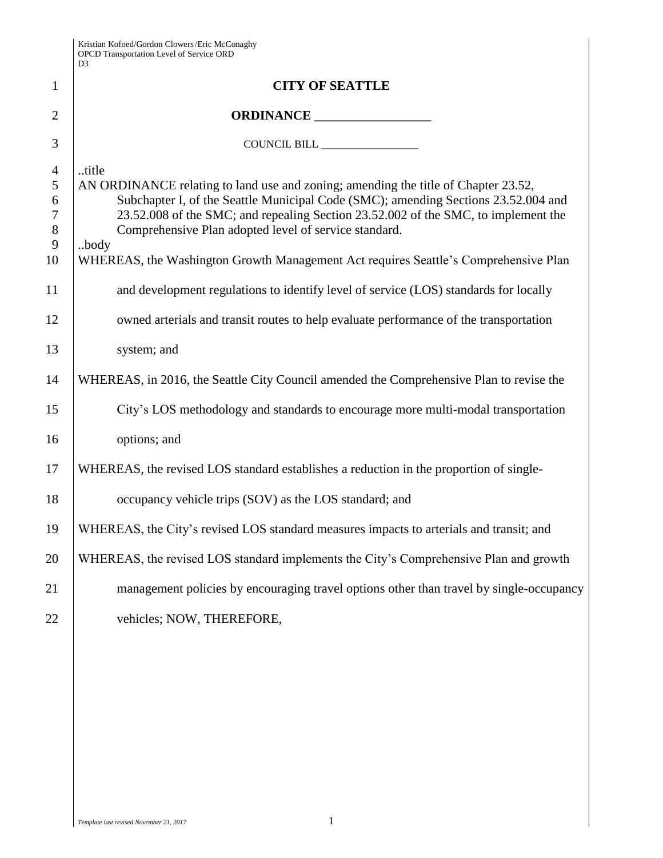| Kristian Kofoed/Gordon Clowers/Eric McConaghy   |
|-------------------------------------------------|
| <b>OPCD</b> Transportation Level of Service ORD |
| D3                                              |

|                                                    | D <sub>3</sub>                                                                                                                                                                                                                                                                                                                                                                                                                  |
|----------------------------------------------------|---------------------------------------------------------------------------------------------------------------------------------------------------------------------------------------------------------------------------------------------------------------------------------------------------------------------------------------------------------------------------------------------------------------------------------|
| 1                                                  | <b>CITY OF SEATTLE</b>                                                                                                                                                                                                                                                                                                                                                                                                          |
| $\overline{2}$                                     |                                                                                                                                                                                                                                                                                                                                                                                                                                 |
| 3                                                  | COUNCIL BILL _________________                                                                                                                                                                                                                                                                                                                                                                                                  |
| $\overline{4}$<br>5<br>6<br>$\tau$<br>8<br>9<br>10 | title<br>AN ORDINANCE relating to land use and zoning; amending the title of Chapter 23.52,<br>Subchapter I, of the Seattle Municipal Code (SMC); amending Sections 23.52.004 and<br>23.52.008 of the SMC; and repealing Section 23.52.002 of the SMC, to implement the<br>Comprehensive Plan adopted level of service standard.<br>body<br>WHEREAS, the Washington Growth Management Act requires Seattle's Comprehensive Plan |
| 11                                                 | and development regulations to identify level of service (LOS) standards for locally                                                                                                                                                                                                                                                                                                                                            |
| 12                                                 | owned arterials and transit routes to help evaluate performance of the transportation                                                                                                                                                                                                                                                                                                                                           |
| 13                                                 | system; and                                                                                                                                                                                                                                                                                                                                                                                                                     |
| 14                                                 | WHEREAS, in 2016, the Seattle City Council amended the Comprehensive Plan to revise the                                                                                                                                                                                                                                                                                                                                         |
| 15                                                 | City's LOS methodology and standards to encourage more multi-modal transportation                                                                                                                                                                                                                                                                                                                                               |
| 16                                                 | options; and                                                                                                                                                                                                                                                                                                                                                                                                                    |
| 17                                                 | WHEREAS, the revised LOS standard establishes a reduction in the proportion of single-                                                                                                                                                                                                                                                                                                                                          |
| 18                                                 | occupancy vehicle trips (SOV) as the LOS standard; and                                                                                                                                                                                                                                                                                                                                                                          |
| 19                                                 | WHEREAS, the City's revised LOS standard measures impacts to arterials and transit; and                                                                                                                                                                                                                                                                                                                                         |
| 20                                                 | WHEREAS, the revised LOS standard implements the City's Comprehensive Plan and growth                                                                                                                                                                                                                                                                                                                                           |
| 21                                                 | management policies by encouraging travel options other than travel by single-occupancy                                                                                                                                                                                                                                                                                                                                         |
| 22                                                 | vehicles; NOW, THEREFORE,                                                                                                                                                                                                                                                                                                                                                                                                       |
|                                                    |                                                                                                                                                                                                                                                                                                                                                                                                                                 |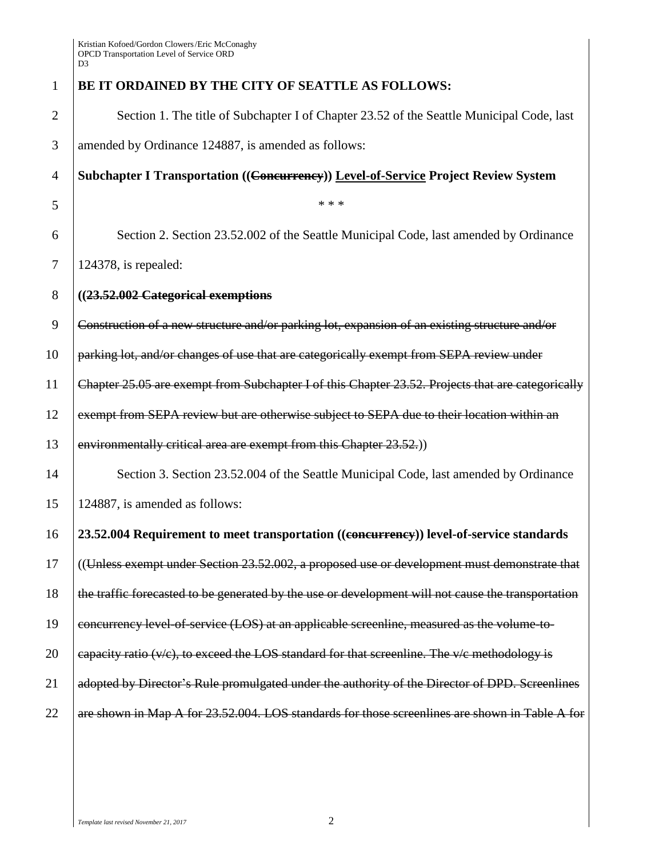| $\mathbf{1}$   | BE IT ORDAINED BY THE CITY OF SEATTLE AS FOLLOWS:                                                  |
|----------------|----------------------------------------------------------------------------------------------------|
| $\overline{c}$ | Section 1. The title of Subchapter I of Chapter 23.52 of the Seattle Municipal Code, last          |
| 3              | amended by Ordinance 124887, is amended as follows:                                                |
| $\overline{4}$ | Subchapter I Transportation ((Concurrency)) Level-of-Service Project Review System                 |
| 5              | * * *                                                                                              |
| 6              | Section 2. Section 23.52.002 of the Seattle Municipal Code, last amended by Ordinance              |
| 7              | $124378$ , is repealed:                                                                            |
| 8              | ((23.52.002 Categorical exemptions                                                                 |
| 9              | Construction of a new structure and/or parking lot, expansion of an existing structure and/or      |
| 10             | parking lot, and/or changes of use that are categorically exempt from SEPA review under            |
| 11             | Chapter 25.05 are exempt from Subchapter I of this Chapter 23.52. Projects that are categorically  |
| 12             | exempt from SEPA review but are otherwise subject to SEPA due to their location within an          |
| 13             | environmentally critical area are exempt from this Chapter 23.52.)                                 |
| 14             | Section 3. Section 23.52.004 of the Seattle Municipal Code, last amended by Ordinance              |
| 15             | 124887, is amended as follows:                                                                     |
| 16             | 23.52.004 Requirement to meet transportation ((eonewrrency)) level-of-service standards            |
| 17             | ((Unless exempt under Section 23.52.002, a proposed use or development must demonstrate that       |
| 18             | the traffic forecasted to be generated by the use or development will not cause the transportation |
| 19             | concurrency level of service (LOS) at an applicable screenline, measured as the volume to-         |
| 20             | eapacity ratio $(v/c)$ , to exceed the LOS standard for that screenline. The $v/c$ methodology is  |
| 21             | adopted by Director's Rule promulgated under the authority of the Director of DPD. Screenlines     |
| 22             | are shown in Map A for 23.52.004. LOS standards for those screenlines are shown in Table A for     |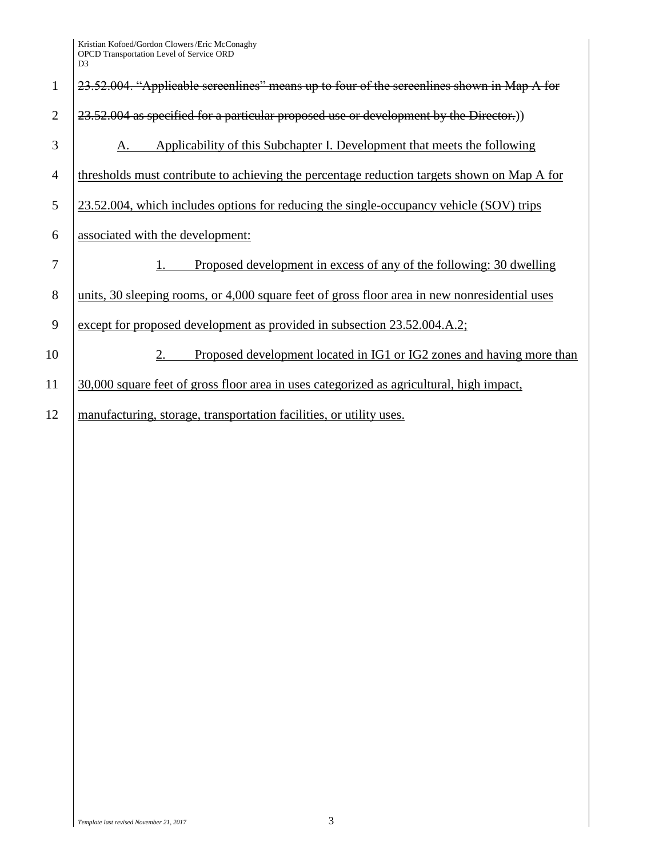| $\mathbf{1}$   | 23.52.004. "Applicable screenlines" means up to four of the screenlines shown in Map A for    |
|----------------|-----------------------------------------------------------------------------------------------|
| $\overline{2}$ | 23.52.004 as specified for a particular proposed use or development by the Director.)         |
| 3              | Applicability of this Subchapter I. Development that meets the following<br>А.                |
| $\overline{4}$ | thresholds must contribute to achieving the percentage reduction targets shown on Map A for   |
| 5              | 23.52.004, which includes options for reducing the single-occupancy vehicle (SOV) trips       |
| 6              | associated with the development:                                                              |
| 7              | Proposed development in excess of any of the following: 30 dwelling                           |
| 8              | units, 30 sleeping rooms, or 4,000 square feet of gross floor area in new nonresidential uses |
| 9              | except for proposed development as provided in subsection 23.52.004.A.2;                      |
| 10             | Proposed development located in IG1 or IG2 zones and having more than<br>2.                   |
| 11             | 30,000 square feet of gross floor area in uses categorized as agricultural, high impact,      |
| 12             | manufacturing, storage, transportation facilities, or utility uses.                           |
|                |                                                                                               |
|                |                                                                                               |
|                |                                                                                               |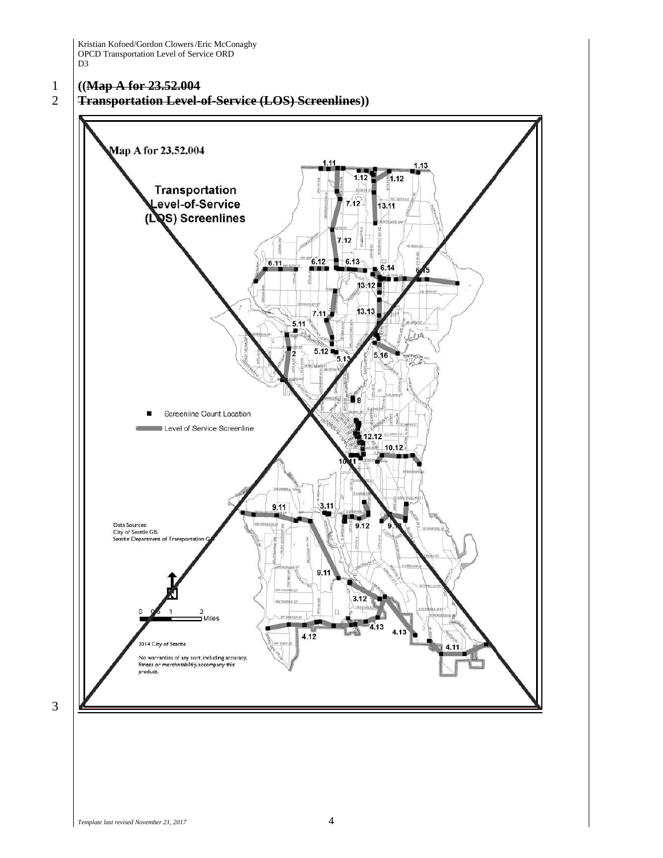# 1 **((Map A for 23.52.004**

## 2 **Transportation Level-of-Service (LOS) Screenlines))**



3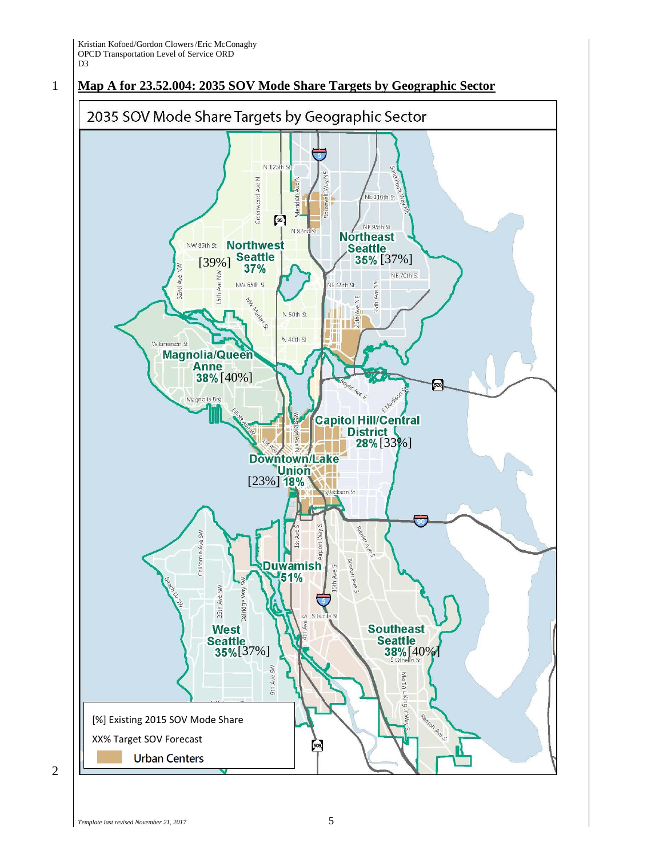## 1 **Map A for 23.52.004: 2035 SOV Mode Share Targets by Geographic Sector**



2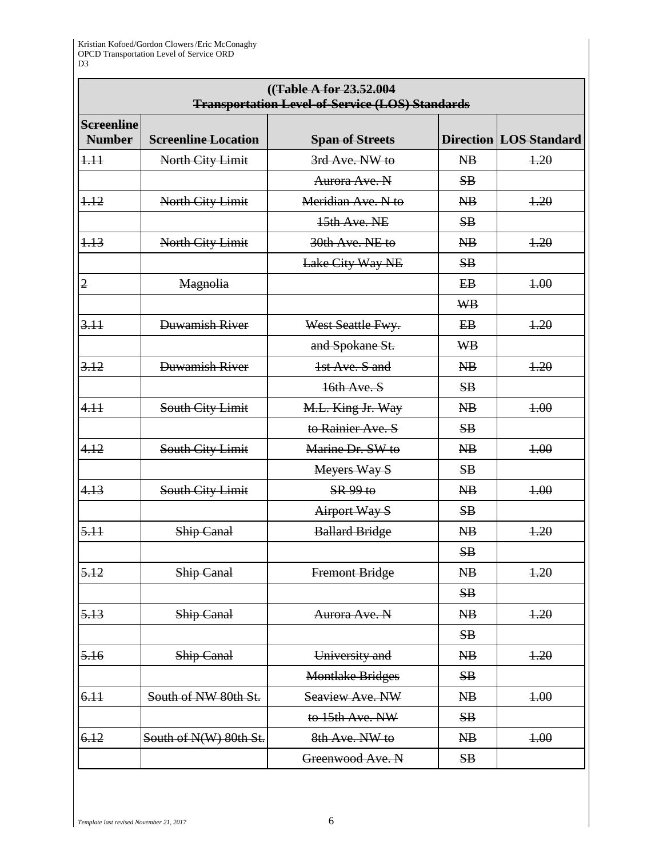## **((Table A for 23.52.004 Transportation Level-of-Service (LOS) Standards**

| <b>Screenline</b><br><b>Number</b> | <b>Screenline Location</b> | <b>Span of Streets</b>  |                          | <b>Direction LOS Standard</b> |
|------------------------------------|----------------------------|-------------------------|--------------------------|-------------------------------|
| 1.11                               | North City Limit           | 3rd Ave. NW to          | $\overline{AB}$          | 4.20                          |
|                                    |                            | Aurora Ave. N           | SB                       |                               |
| 1.12                               | North City Limit           | Meridian Ave. N to      | $\overline{AB}$          | 1.20                          |
|                                    |                            | 15th Ave. NE            | SB                       |                               |
| 1.13                               | North City Limit           | 30th Ave. NE to         | $\overline{\text{AB}}$   | 4.20                          |
|                                    |                            | Lake City Way NE        | SB                       |                               |
| $\overline{2}$                     | Magnolia                   |                         | $E$ B                    | 4.00                          |
|                                    |                            |                         | <b>WB</b>                |                               |
| 3.11                               | Duwamish River             | West Seattle Fwy.       | E B                      | 4.20                          |
|                                    |                            | and Spokane St.         | <b>WB</b>                |                               |
| 3.12                               | Duwamish River             | 1st Ave, S and          | $\overline{AB}$          | 4.20                          |
|                                    |                            | 16th Ave. S             | SB                       |                               |
| 4.11                               | South City Limit           | M.L. King Jr. Way       | $\overline{\text{AB}}$   | 4.00                          |
|                                    |                            | to Rainier Ave. S       | SB                       |                               |
| 4.12                               | South City Limit           | Marine Dr. SW to        | $\overline{\text{AB}}$   | 4.00                          |
|                                    |                            | Meyers Way S            | SB                       |                               |
| 4.13                               | South City Limit           | SR 99 to                | $\overline{\text{AB}}$   | 4.00                          |
|                                    |                            | <b>Airport Way S</b>    | SB                       |                               |
| 5.11                               | <b>Ship Canal</b>          | <b>Ballard Bridge</b>   | $\overline{AB}$          | 1.20                          |
|                                    |                            |                         | SB                       |                               |
| 5.12                               | Ship Canal                 | Fremont Bridge          | $\overline{AB}$          | 4.20                          |
|                                    |                            |                         | SB                       |                               |
| 5.13                               | <b>Ship Canal</b>          | Aurora Ave. N           | $\overline{\mathbf{AB}}$ | 1.20                          |
|                                    |                            |                         | SB                       |                               |
| 5.16                               | Ship Canal                 | University and          | NB                       | 1.20                          |
|                                    |                            | <b>Montlake Bridges</b> | SB                       |                               |
| 6.11                               | South of NW 80th St.       | Seaview Ave. NW         | NB                       | 4.00                          |
|                                    |                            | to 15th Ave. NW         | SB                       |                               |
| 6.12                               | South of N(W) 80th St.     | 8th Ave. NW to          | NB                       | 4.00                          |
|                                    |                            | Greenwood Ave. N        | SB                       |                               |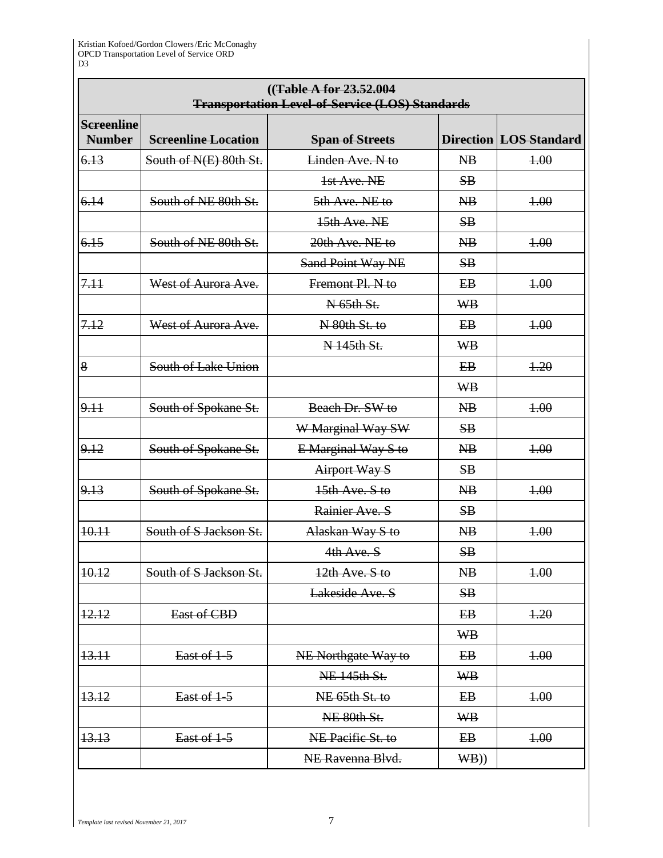## **((Table A for 23.52.004 Transportation Level-of-Service (LOS) Standards**

| <b>Screenline</b><br><b>Number</b> | <b>Screenline Location</b> | <b>Span of Streets</b>   |                          | <b>Direction LOS Standard</b> |
|------------------------------------|----------------------------|--------------------------|--------------------------|-------------------------------|
| 6.13                               | South of N(E) 80th St.     | Linden Ave. N to         | $\overline{AB}$          | 4.00                          |
|                                    |                            | 1st Ave. NE              | SB                       |                               |
| 6.14                               | South of NE 80th St.       | 5th Ave. NE to           | $\overline{\text{AB}}$   | 4.00                          |
|                                    |                            | 15th Ave. NE             | SB                       |                               |
| 6.15                               | South of NE 80th St.       | 20th Ave. NE to          | $\overline{\text{AB}}$   | 4.00                          |
|                                    |                            | <b>Sand Point Way NE</b> | SB                       |                               |
| 7.11                               | West of Aurora Ave.        | Fremont Pl. N to         | E <sub>B</sub>           | 4.00                          |
|                                    |                            | N 65th St.               | <b>WB</b>                |                               |
| 7.12                               | West of Aurora Ave.        | N 80th St. to            | $E_{\rm B}$              | 4.00                          |
|                                    |                            | N 145th St.              | <b>WB</b>                |                               |
| 8                                  | South of Lake Union        |                          | $E$ B                    | 4.20                          |
|                                    |                            |                          | <b>WB</b>                |                               |
| 9.11                               | South of Spokane St.       | Beach Dr. SW to          | $\overline{AB}$          | 4.00                          |
|                                    |                            | W Marginal Way SW        | SB                       |                               |
| 9.12                               | South of Spokane St.       | E Marginal Way S to      | $\overline{\text{AB}}$   | 4.00                          |
|                                    |                            | Airport Way S            | SB                       |                               |
| 9.13                               | South of Spokane St.       | 15th Ave. S to           | $\overline{\mathbf{AB}}$ | 4.00                          |
|                                    |                            | Rainier Ave. S           | SB                       |                               |
| 10.11                              | South of S Jackson St.     | Alaskan Way S to         | $\overline{AB}$          | 4.00                          |
|                                    |                            | 4th Ave. S               | SB                       |                               |
| 10.12                              | South of S Jackson St.     | $12th$ Ave. S to         | $\overline{AB}$          | 4.00                          |
|                                    |                            | Lakeside Ave. S          | SB                       |                               |
| 12.12                              | East of CBD                |                          | $E$ B                    | 1.20                          |
|                                    |                            |                          | <b>WB</b>                |                               |
| 13.11                              | East of 1-5                | NE Northgate Way to      | $E$ B                    | 4.00                          |
|                                    |                            | NE 145th St.             | <b>WB</b>                |                               |
| 13.12                              | East of 1-5                | NE 65th St. to           | $E$ B                    | 4.00                          |
|                                    |                            | NE 80th St.              | <b>WB</b>                |                               |
| 13.13                              | East of 1-5                | NE Pacific St. to        | $E$ B                    | 4.00                          |
|                                    |                            | NE Ravenna Blvd.         | W(B)                     |                               |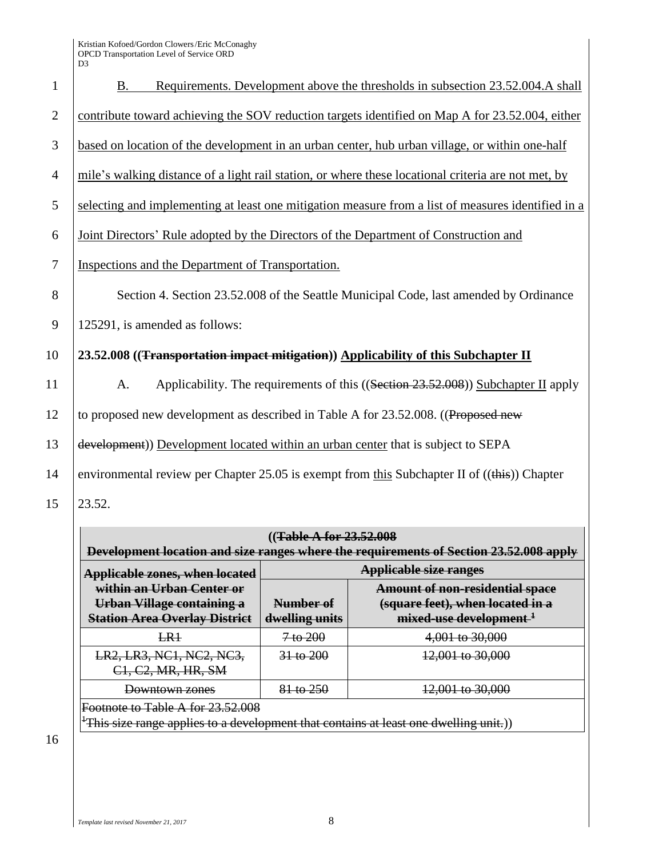| $\mathbf{1}$   | Requirements. Development above the thresholds in subsection 23.52.004.A shall<br><b>B.</b>         |
|----------------|-----------------------------------------------------------------------------------------------------|
| $\overline{2}$ | contribute toward achieving the SOV reduction targets identified on Map A for 23.52.004, either     |
| 3              | based on location of the development in an urban center, hub urban village, or within one-half      |
| $\overline{4}$ | mile's walking distance of a light rail station, or where these locational criteria are not met, by |
| 5              | selecting and implementing at least one mitigation measure from a list of measures identified in a  |
| 6              | Joint Directors' Rule adopted by the Directors of the Department of Construction and                |
| $\overline{7}$ | Inspections and the Department of Transportation.                                                   |
| 8              | Section 4. Section 23.52.008 of the Seattle Municipal Code, last amended by Ordinance               |
| 9              | 125291, is amended as follows:                                                                      |
| 10             | 23.52.008 ((Transportation impact mitigation)) Applicability of this Subchapter II                  |
| 11             | Applicability. The requirements of this ((Section 23.52.008)) Subchapter II apply<br>A.             |
| 12             | to proposed new development as described in Table A for 23.52.008. ((Proposed new                   |
| 13             | development)) Development located within an urban center that is subject to SEPA                    |
| 14             | environmental review per Chapter 25.05 is exempt from this Subchapter II of $((this))$ Chapter      |
| 15             | 23.52.                                                                                              |

| (( <del>Table A for 23.52.008</del><br>Development location and size ranges where the requirements of Section 23.52.008 apply         |                                                                                                                                                 |                             |  |  |
|---------------------------------------------------------------------------------------------------------------------------------------|-------------------------------------------------------------------------------------------------------------------------------------------------|-----------------------------|--|--|
| <b>Applicable zones, when located</b>                                                                                                 | <b>Applicable size ranges</b>                                                                                                                   |                             |  |  |
| within an Urban Center or<br>Urban Village containing a<br><b>Station Area Overlay District</b>                                       | <b>Amount of non-residential space</b><br>(square feet), when located in a<br>Number of<br>mixed-use development <sup>+</sup><br>dwelling units |                             |  |  |
| LR1                                                                                                                                   | 7 to 200                                                                                                                                        | 4,001 to 30,000             |  |  |
| LR2, LR3, NC1, NC2, NC3,<br>C <sub>1</sub> , C <sub>2</sub> , MR, HR, SM                                                              | $31$ to $200$                                                                                                                                   | 12,001 to 30,000            |  |  |
| Downtown zones                                                                                                                        | 81 to 250                                                                                                                                       | <del>12,001 to 30,000</del> |  |  |
| Footnote to Table A for 23.52.008<br><sup>+</sup> This size range applies to a development that contains at least one dwelling unit.) |                                                                                                                                                 |                             |  |  |

16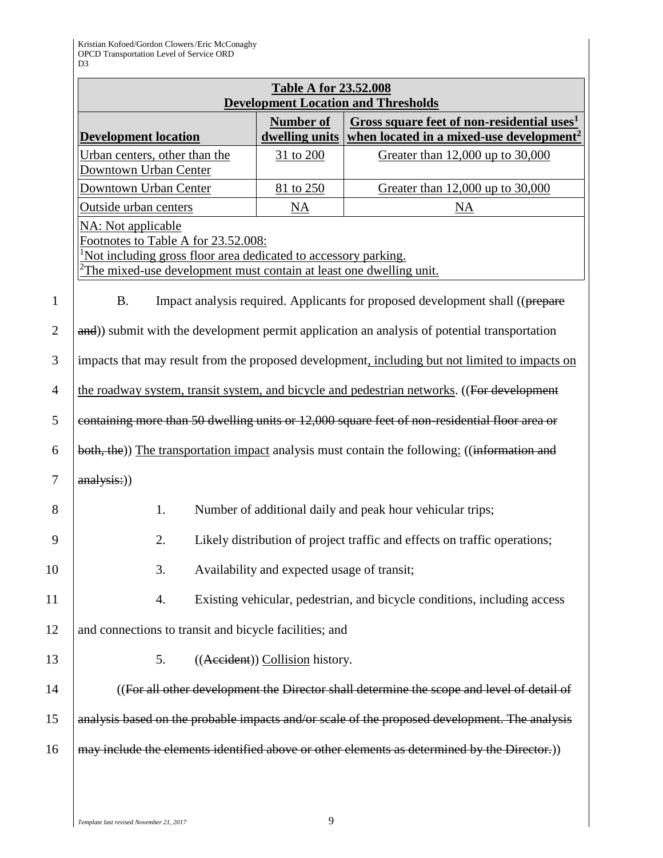|                                                                                                                                                                                                                        |                                                                                 | <b>Table A for 23.52.008</b>                | <b>Development Location and Thresholds</b>                                                                     |  |  |
|------------------------------------------------------------------------------------------------------------------------------------------------------------------------------------------------------------------------|---------------------------------------------------------------------------------|---------------------------------------------|----------------------------------------------------------------------------------------------------------------|--|--|
|                                                                                                                                                                                                                        | <b>Development location</b>                                                     | <b>Number of</b><br>dwelling units          | Gross square feet of non-residential uses <sup>1</sup><br>when located in a mixed-use development <sup>2</sup> |  |  |
|                                                                                                                                                                                                                        | Urban centers, other than the<br><b>Downtown Urban Center</b>                   | 31 to 200                                   | Greater than 12,000 up to 30,000                                                                               |  |  |
|                                                                                                                                                                                                                        | Downtown Urban Center                                                           | 81 to 250                                   | Greater than 12,000 up to 30,000                                                                               |  |  |
|                                                                                                                                                                                                                        | Outside urban centers                                                           | <b>NA</b>                                   | NA                                                                                                             |  |  |
| <b>NA:</b> Not applicable<br>Footnotes to Table A for 23.52.008:<br>Not including gross floor area dedicated to accessory parking.<br>$\frac{2}{2}$ The mixed-use development must contain at least one dwelling unit. |                                                                                 |                                             |                                                                                                                |  |  |
| <b>B.</b>                                                                                                                                                                                                              |                                                                                 |                                             | Impact analysis required. Applicants for proposed development shall ((prepare                                  |  |  |
|                                                                                                                                                                                                                        |                                                                                 |                                             | and)) submit with the development permit application an analysis of potential transportation                   |  |  |
|                                                                                                                                                                                                                        |                                                                                 |                                             |                                                                                                                |  |  |
| impacts that may result from the proposed development, including but not limited to impacts on                                                                                                                         |                                                                                 |                                             |                                                                                                                |  |  |
| the roadway system, transit system, and bicycle and pedestrian networks. ((For development                                                                                                                             |                                                                                 |                                             |                                                                                                                |  |  |
| containing more than 50 dwelling units or 12,000 square feet of non-residential floor area or                                                                                                                          |                                                                                 |                                             |                                                                                                                |  |  |
| both, the)) The transportation impact analysis must contain the following: ((information and                                                                                                                           |                                                                                 |                                             |                                                                                                                |  |  |
| analysis:))                                                                                                                                                                                                            |                                                                                 |                                             |                                                                                                                |  |  |
| 1.<br>Number of additional daily and peak hour vehicular trips;                                                                                                                                                        |                                                                                 |                                             |                                                                                                                |  |  |
|                                                                                                                                                                                                                        | 2.<br>Likely distribution of project traffic and effects on traffic operations; |                                             |                                                                                                                |  |  |
|                                                                                                                                                                                                                        | 3.                                                                              | Availability and expected usage of transit; |                                                                                                                |  |  |
|                                                                                                                                                                                                                        | 4.                                                                              |                                             | Existing vehicular, pedestrian, and bicycle conditions, including access                                       |  |  |
|                                                                                                                                                                                                                        | and connections to transit and bicycle facilities; and                          |                                             |                                                                                                                |  |  |
|                                                                                                                                                                                                                        | 5.                                                                              | ((Aecident)) Collision history.             |                                                                                                                |  |  |
|                                                                                                                                                                                                                        |                                                                                 |                                             | ((For all other development the Director shall determine the scope and level of detail of                      |  |  |
|                                                                                                                                                                                                                        |                                                                                 |                                             | analysis based on the probable impacts and/or scale of the proposed development. The analysis                  |  |  |
| may include the elements identified above or other elements as determined by the Director.)                                                                                                                            |                                                                                 |                                             |                                                                                                                |  |  |
|                                                                                                                                                                                                                        |                                                                                 |                                             |                                                                                                                |  |  |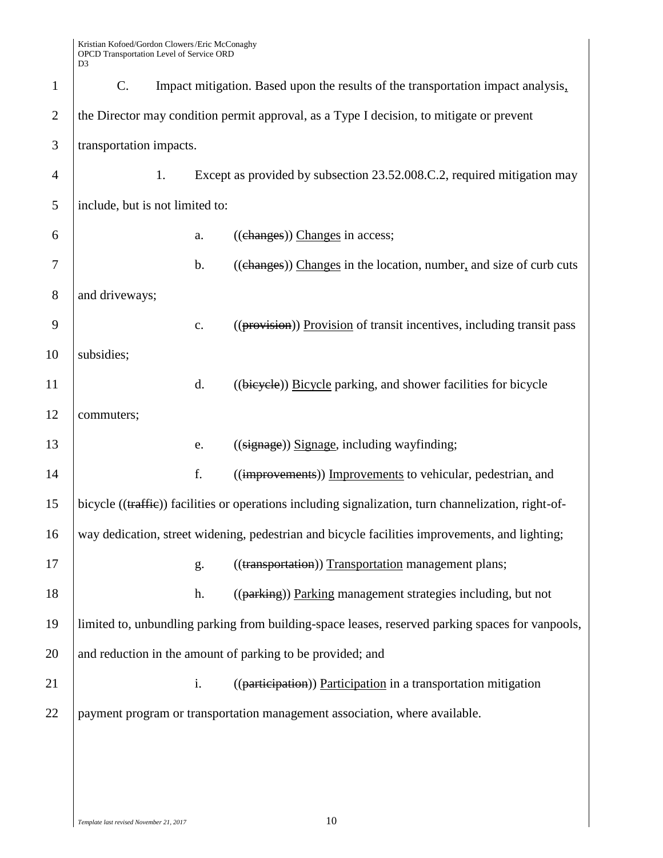| $\mathbf{1}$   | C.                                                                                       |    |                | Impact mitigation. Based upon the results of the transportation impact analysis.                     |
|----------------|------------------------------------------------------------------------------------------|----|----------------|------------------------------------------------------------------------------------------------------|
| $\overline{2}$ | the Director may condition permit approval, as a Type I decision, to mitigate or prevent |    |                |                                                                                                      |
| 3              | transportation impacts.                                                                  |    |                |                                                                                                      |
| $\overline{4}$ |                                                                                          | 1. |                | Except as provided by subsection 23.52.008.C.2, required mitigation may                              |
| 5              | include, but is not limited to:                                                          |    |                |                                                                                                      |
| 6              |                                                                                          |    | a.             | ((changes)) Changes in access;                                                                       |
| 7              |                                                                                          |    | b.             | ((changes)) Changes in the location, number, and size of curb cuts                                   |
| 8              | and driveways;                                                                           |    |                |                                                                                                      |
| 9              |                                                                                          |    | $\mathbf{c}$ . | ((provision)) Provision of transit incentives, including transit pass                                |
| 10             | subsidies;                                                                               |    |                |                                                                                                      |
| 11             |                                                                                          |    | d.             | ((bicycle)) Bicycle parking, and shower facilities for bicycle                                       |
| 12             | commuters;                                                                               |    |                |                                                                                                      |
| 13             |                                                                                          |    | e.             | $((\text{signage}))$ Signage, including wayfinding;                                                  |
| 14             |                                                                                          |    | f.             | ((improvements)) Improvements to vehicular, pedestrian, and                                          |
| 15             |                                                                                          |    |                | bicycle ((traffie)) facilities or operations including signalization, turn channelization, right-of- |
| 16             |                                                                                          |    |                | way dedication, street widening, pedestrian and bicycle facilities improvements, and lighting;       |
| 17             |                                                                                          |    | g.             | ((transportation)) Transportation management plans;                                                  |
| 18             |                                                                                          |    | h.             | ((parking)) Parking management strategies including, but not                                         |
| 19             |                                                                                          |    |                | limited to, unbundling parking from building-space leases, reserved parking spaces for vanpools,     |
| 20             |                                                                                          |    |                | and reduction in the amount of parking to be provided; and                                           |
| 21             |                                                                                          |    | i.             | ((participation) Participation in a transportation mitigation                                        |
| 22             |                                                                                          |    |                | payment program or transportation management association, where available.                           |
|                |                                                                                          |    |                |                                                                                                      |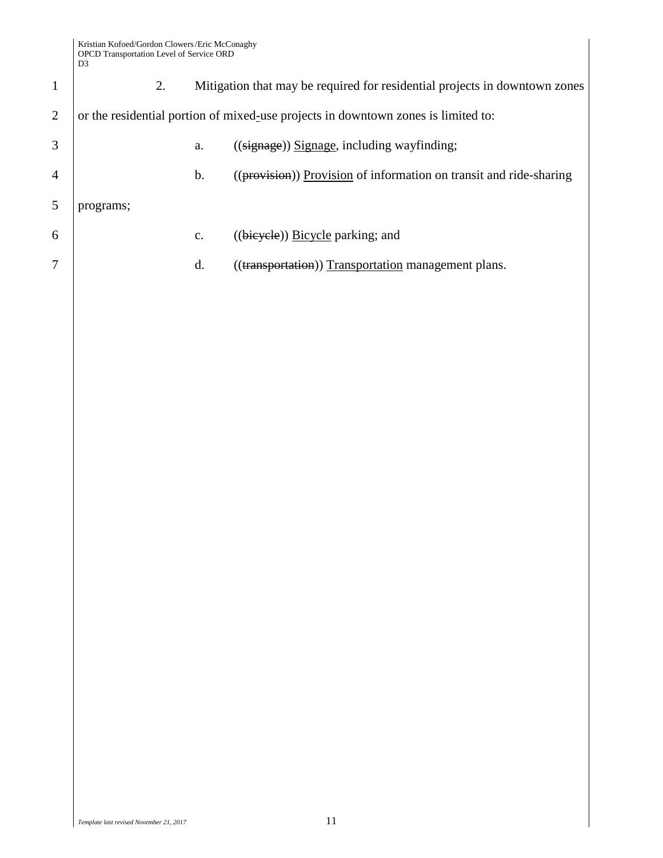| $\mathbf{1}$   | 2.                                                                                |                | Mitigation that may be required for residential projects in downtown zones |  |  |
|----------------|-----------------------------------------------------------------------------------|----------------|----------------------------------------------------------------------------|--|--|
| $\overline{2}$ | or the residential portion of mixed-use projects in downtown zones is limited to: |                |                                                                            |  |  |
| 3              |                                                                                   | a.             | $((\text{signage}))$ Signage, including wayfinding;                        |  |  |
| 4              |                                                                                   | b.             | ((provision) Provision of information on transit and ride-sharing          |  |  |
| 5              | programs;                                                                         |                |                                                                            |  |  |
| 6              |                                                                                   | $\mathbf{C}$ . | $((bieyele))$ Bicycle parking; and                                         |  |  |
| 7              |                                                                                   | d.             | ((transportation)) Transportation management plans.                        |  |  |
|                |                                                                                   |                |                                                                            |  |  |